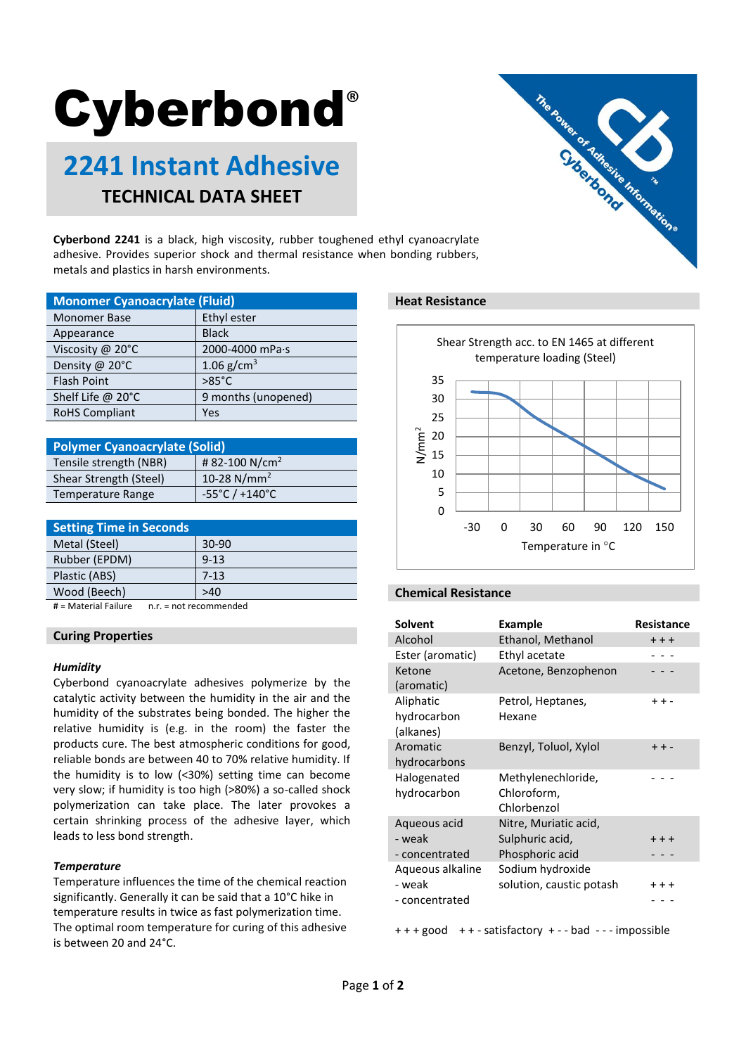# **Cyberbond®**

# **2241 Instant Adhesive TECHNICAL DATA SHEET**



**Cyberbond 2241** is a black, high viscosity, rubber toughened ethyl cyanoacrylate adhesive. Provides superior shock and thermal resistance when bonding rubbers, metals and plastics in harsh environments.

| <b>Monomer Cyanoacrylate (Fluid)</b> |                     |  |
|--------------------------------------|---------------------|--|
| <b>Monomer Base</b>                  | Ethyl ester         |  |
| Appearance                           | <b>Black</b>        |  |
| Viscosity @ 20°C                     | 2000-4000 mPa·s     |  |
| Density @ 20°C                       | 1.06 $g/cm^{3}$     |  |
| <b>Flash Point</b>                   | $>85^{\circ}$ C     |  |
| Shelf Life @ 20°C                    | 9 months (unopened) |  |
| <b>RoHS Compliant</b>                | Yes                 |  |

| <b>Polymer Cyanoacrylate (Solid)</b> |                                     |  |
|--------------------------------------|-------------------------------------|--|
| Tensile strength (NBR)               | #82-100 N/cm <sup>2</sup>           |  |
| Shear Strength (Steel)               | 10-28 $N/mm^2$                      |  |
| <b>Temperature Range</b>             | $-55^{\circ}$ C / +140 $^{\circ}$ C |  |

| <b>Setting Time in Seconds</b> |          |
|--------------------------------|----------|
| Metal (Steel)                  | $30-90$  |
| Rubber (EPDM)                  | $9 - 13$ |
| Plastic (ABS)                  | $7-13$   |
| Wood (Beech)                   | >40      |
|                                | . .      |

# = Material Failure n.r. = not recommended

# **Curing Properties**

#### *Humidity*

Cyberbond cyanoacrylate adhesives polymerize by the catalytic activity between the humidity in the air and the humidity of the substrates being bonded. The higher the relative humidity is (e.g. in the room) the faster the products cure. The best atmospheric conditions for good, reliable bonds are between 40 to 70% relative humidity. If the humidity is to low (<30%) setting time can become very slow; if humidity is too high (>80%) a so-called shock polymerization can take place. The later provokes a certain shrinking process of the adhesive layer, which leads to less bond strength.

#### *Temperature*

Temperature influences the time of the chemical reaction significantly. Generally it can be said that a 10°C hike in temperature results in twice as fast polymerization time. The optimal room temperature for curing of this adhesive is between 20 and 24°C.

#### **Heat Resistance**



# **Chemical Resistance**

| <b>Solvent</b>   | Example                  | <b>Resistance</b> |
|------------------|--------------------------|-------------------|
| Alcohol          | Ethanol, Methanol        | $++$              |
| Ester (aromatic) | Ethyl acetate            |                   |
| Ketone           | Acetone, Benzophenon     |                   |
| (aromatic)       |                          |                   |
| Aliphatic        | Petrol, Heptanes,        | $++ -$            |
| hydrocarbon      | Hexane                   |                   |
| (alkanes)        |                          |                   |
| Aromatic         | Benzyl, Toluol, Xylol    | $++ -$            |
| hydrocarbons     |                          |                   |
| Halogenated      | Methylenechloride,       |                   |
| hydrocarbon      | Chloroform,              |                   |
|                  | Chlorbenzol              |                   |
| Aqueous acid     | Nitre, Muriatic acid,    |                   |
| - weak           | Sulphuric acid,          | $+ + +$           |
| - concentrated   | Phosphoric acid          |                   |
| Aqueous alkaline | Sodium hydroxide         |                   |
| - weak           | solution, caustic potash | $++$              |
| - concentrated   |                          |                   |

+ + + good + + - satisfactory + - - bad - - - impossible